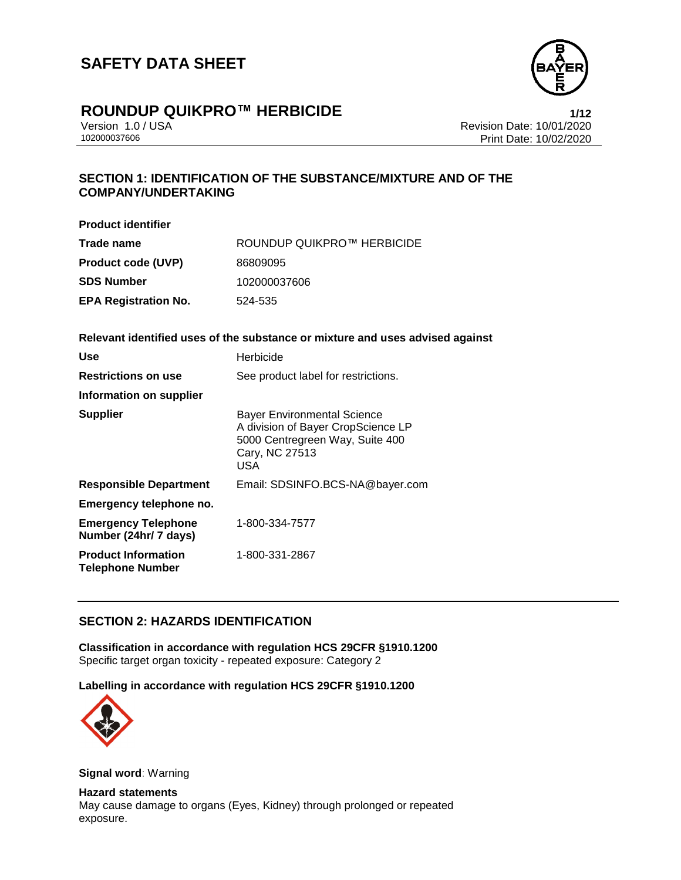

# **ROUNDUP QUIKPRO™ HERBICIDE**<br>Version 1.0 / USA **1/12**<br>Revision Date: 10/01/2020

Version 1.0 / USA Revision Date: 10/01/2020 Print Date: 10/02/2020

# **SECTION 1: IDENTIFICATION OF THE SUBSTANCE/MIXTURE AND OF THE COMPANY/UNDERTAKING**

| <b>Product identifier</b>   |                            |
|-----------------------------|----------------------------|
| Trade name                  | ROUNDUP QUIKPRO™ HERBICIDE |
| <b>Product code (UVP)</b>   | 86809095                   |
| SDS Number                  | 102000037606               |
| <b>EPA Registration No.</b> | 524-535                    |

### **Relevant identified uses of the substance or mixture and uses advised against**

| Use                                                   | Herbicide                                                                                                                            |
|-------------------------------------------------------|--------------------------------------------------------------------------------------------------------------------------------------|
| <b>Restrictions on use</b>                            | See product label for restrictions.                                                                                                  |
| Information on supplier                               |                                                                                                                                      |
| <b>Supplier</b>                                       | <b>Bayer Environmental Science</b><br>A division of Bayer CropScience LP<br>5000 Centregreen Way, Suite 400<br>Cary, NC 27513<br>USA |
| <b>Responsible Department</b>                         | Email: SDSINFO.BCS-NA@bayer.com                                                                                                      |
| Emergency telephone no.                               |                                                                                                                                      |
| <b>Emergency Telephone</b><br>Number (24hr/ 7 days)   | 1-800-334-7577                                                                                                                       |
| <b>Product Information</b><br><b>Telephone Number</b> | 1-800-331-2867                                                                                                                       |

# **SECTION 2: HAZARDS IDENTIFICATION**

**Classification in accordance with regulation HCS 29CFR §1910.1200** Specific target organ toxicity - repeated exposure: Category 2

### **Labelling in accordance with regulation HCS 29CFR §1910.1200**



**Signal word**: Warning

**Hazard statements** May cause damage to organs (Eyes, Kidney) through prolonged or repeated exposure.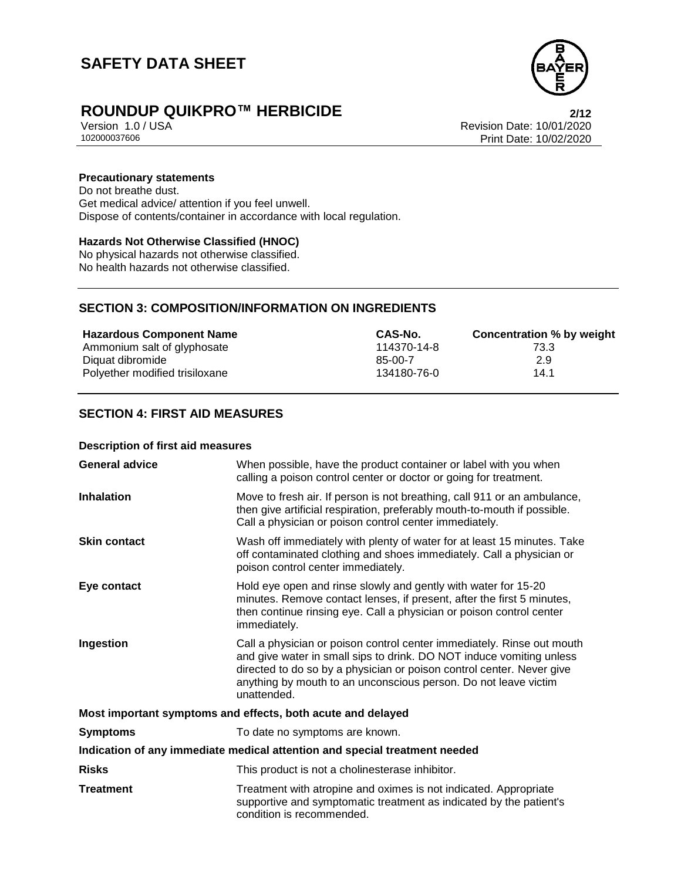

# **ROUNDUP QUIKPRO™ HERBICIDE**<br>Version 1.0 / USA *Premises* Revision Date: 10/01/2020

Version 1.0 / USA Revision Date: 10/01/2020 Print Date: 10/02/2020

### **Precautionary statements**

Do not breathe dust. Get medical advice/ attention if you feel unwell. Dispose of contents/container in accordance with local regulation.

# **Hazards Not Otherwise Classified (HNOC)**

No physical hazards not otherwise classified. No health hazards not otherwise classified.

# **SECTION 3: COMPOSITION/INFORMATION ON INGREDIENTS**

| <b>Hazardous Component Name</b> | CAS-No.     | <b>Concentration % by weight</b> |
|---------------------------------|-------------|----------------------------------|
| Ammonium salt of glyphosate     | 114370-14-8 | 73.3                             |
| Diquat dibromide                | $85-00-7$   | 2.9                              |
| Polyether modified trisiloxane  | 134180-76-0 | 14.1                             |

# **SECTION 4: FIRST AID MEASURES**

#### **Description of first aid measures**

| <b>General advice</b>                                                      | When possible, have the product container or label with you when<br>calling a poison control center or doctor or going for treatment.                                                                                                                                                                     |  |
|----------------------------------------------------------------------------|-----------------------------------------------------------------------------------------------------------------------------------------------------------------------------------------------------------------------------------------------------------------------------------------------------------|--|
| <b>Inhalation</b>                                                          | Move to fresh air. If person is not breathing, call 911 or an ambulance,<br>then give artificial respiration, preferably mouth-to-mouth if possible.<br>Call a physician or poison control center immediately.                                                                                            |  |
| <b>Skin contact</b>                                                        | Wash off immediately with plenty of water for at least 15 minutes. Take<br>off contaminated clothing and shoes immediately. Call a physician or<br>poison control center immediately.                                                                                                                     |  |
| Eye contact                                                                | Hold eye open and rinse slowly and gently with water for 15-20<br>minutes. Remove contact lenses, if present, after the first 5 minutes,<br>then continue rinsing eye. Call a physician or poison control center<br>immediately.                                                                          |  |
| Ingestion                                                                  | Call a physician or poison control center immediately. Rinse out mouth<br>and give water in small sips to drink. DO NOT induce vomiting unless<br>directed to do so by a physician or poison control center. Never give<br>anything by mouth to an unconscious person. Do not leave victim<br>unattended. |  |
| Most important symptoms and effects, both acute and delayed                |                                                                                                                                                                                                                                                                                                           |  |
| <b>Symptoms</b>                                                            | To date no symptoms are known.                                                                                                                                                                                                                                                                            |  |
| Indication of any immediate medical attention and special treatment needed |                                                                                                                                                                                                                                                                                                           |  |
| <b>Risks</b>                                                               | This product is not a cholinesterase inhibitor.                                                                                                                                                                                                                                                           |  |
| <b>Treatment</b>                                                           | Treatment with atropine and oximes is not indicated. Appropriate<br>supportive and symptomatic treatment as indicated by the patient's<br>condition is recommended.                                                                                                                                       |  |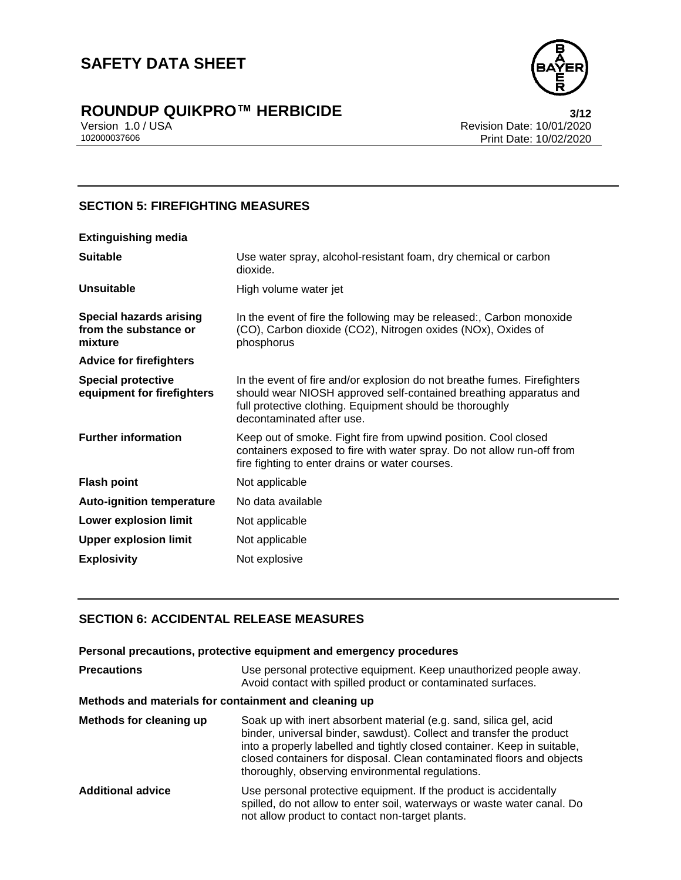

# **ROUNDUP QUIKPRO™ HERBICIDE**<br>Version 1.0 / USA **biased and the Case of the County of the Section Date: 10/01/2020**

Version 1.0 / USA Revision Date: 10/01/2020<br>102000037606 Print Date: 10/02/2020 Print Date: 10/02/2020

# **SECTION 5: FIREFIGHTING MEASURES**

| Use water spray, alcohol-resistant foam, dry chemical or carbon<br>dioxide.                                                                                                                                                            |
|----------------------------------------------------------------------------------------------------------------------------------------------------------------------------------------------------------------------------------------|
| High volume water jet                                                                                                                                                                                                                  |
| In the event of fire the following may be released:, Carbon monoxide<br>(CO), Carbon dioxide (CO2), Nitrogen oxides (NOx), Oxides of<br>phosphorus                                                                                     |
|                                                                                                                                                                                                                                        |
| In the event of fire and/or explosion do not breathe fumes. Firefighters<br>should wear NIOSH approved self-contained breathing apparatus and<br>full protective clothing. Equipment should be thoroughly<br>decontaminated after use. |
| Keep out of smoke. Fight fire from upwind position. Cool closed<br>containers exposed to fire with water spray. Do not allow run-off from<br>fire fighting to enter drains or water courses.                                           |
| Not applicable                                                                                                                                                                                                                         |
| No data available                                                                                                                                                                                                                      |
| Not applicable                                                                                                                                                                                                                         |
| Not applicable                                                                                                                                                                                                                         |
| Not explosive                                                                                                                                                                                                                          |
|                                                                                                                                                                                                                                        |

# **SECTION 6: ACCIDENTAL RELEASE MEASURES**

# **Personal precautions, protective equipment and emergency procedures Precautions** Use personal protective equipment. Keep unauthorized people away. Avoid contact with spilled product or contaminated surfaces.

# **Methods and materials for containment and cleaning up**

| Methods for cleaning up  | Soak up with inert absorbent material (e.g. sand, silica gel, acid<br>binder, universal binder, sawdust). Collect and transfer the product<br>into a properly labelled and tightly closed container. Keep in suitable,<br>closed containers for disposal. Clean contaminated floors and objects<br>thoroughly, observing environmental regulations. |
|--------------------------|-----------------------------------------------------------------------------------------------------------------------------------------------------------------------------------------------------------------------------------------------------------------------------------------------------------------------------------------------------|
| <b>Additional advice</b> | Use personal protective equipment. If the product is accidentally<br>spilled, do not allow to enter soil, waterways or waste water canal. Do<br>not allow product to contact non-target plants.                                                                                                                                                     |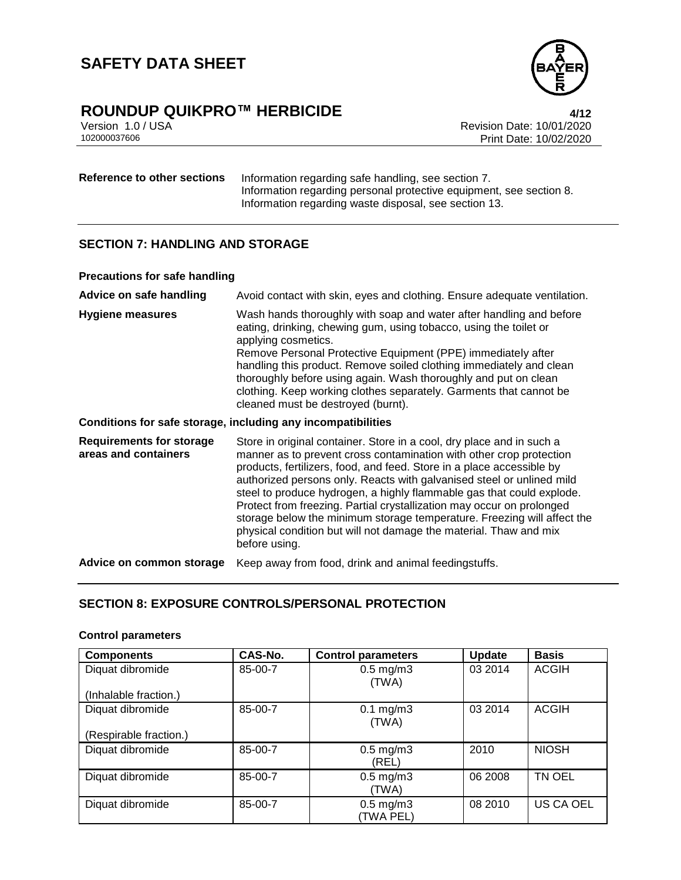

# **ROUNDUP QUIKPRO™ HERBICIDE**<br>Version 1.0 / USA *4/12*<br>Revision Date: 10/01/2020

Version 1.0 / USA Revision Date: 10/01/2020 Print Date: 10/02/2020

**Reference to other sections** Information regarding safe handling, see section 7. Information regarding personal protective equipment, see section 8. Information regarding waste disposal, see section 13.

# **SECTION 7: HANDLING AND STORAGE**

#### **Precautions for safe handling**

| Advice on safe handling                                      | Avoid contact with skin, eyes and clothing. Ensure adequate ventilation.                                                                                                                                                                                                                                                                                                                                                                                                                                                                                                                                          |  |  |
|--------------------------------------------------------------|-------------------------------------------------------------------------------------------------------------------------------------------------------------------------------------------------------------------------------------------------------------------------------------------------------------------------------------------------------------------------------------------------------------------------------------------------------------------------------------------------------------------------------------------------------------------------------------------------------------------|--|--|
| <b>Hygiene measures</b>                                      | Wash hands thoroughly with soap and water after handling and before<br>eating, drinking, chewing gum, using tobacco, using the toilet or<br>applying cosmetics.<br>Remove Personal Protective Equipment (PPE) immediately after<br>handling this product. Remove soiled clothing immediately and clean<br>thoroughly before using again. Wash thoroughly and put on clean<br>clothing. Keep working clothes separately. Garments that cannot be<br>cleaned must be destroyed (burnt).                                                                                                                             |  |  |
| Conditions for safe storage, including any incompatibilities |                                                                                                                                                                                                                                                                                                                                                                                                                                                                                                                                                                                                                   |  |  |
| <b>Requirements for storage</b><br>areas and containers      | Store in original container. Store in a cool, dry place and in such a<br>manner as to prevent cross contamination with other crop protection<br>products, fertilizers, food, and feed. Store in a place accessible by<br>authorized persons only. Reacts with galvanised steel or unlined mild<br>steel to produce hydrogen, a highly flammable gas that could explode.<br>Protect from freezing. Partial crystallization may occur on prolonged<br>storage below the minimum storage temperature. Freezing will affect the<br>physical condition but will not damage the material. Thaw and mix<br>before using. |  |  |
| Advice on common storage                                     | Keep away from food, drink and animal feedingstuffs.                                                                                                                                                                                                                                                                                                                                                                                                                                                                                                                                                              |  |  |

# **SECTION 8: EXPOSURE CONTROLS/PERSONAL PROTECTION**

# **Control parameters**

| <b>Components</b>      | CAS-No. | <b>Control parameters</b>         | <b>Update</b> | <b>Basis</b> |
|------------------------|---------|-----------------------------------|---------------|--------------|
| Diquat dibromide       | 85-00-7 | $0.5$ mg/m $3$<br>(TWA)           | 03 2014       | <b>ACGIH</b> |
| (Inhalable fraction.)  |         |                                   |               |              |
| Diquat dibromide       | 85-00-7 | $0.1$ mg/m $3$<br>(TWA)           | 03 2014       | <b>ACGIH</b> |
| (Respirable fraction.) |         |                                   |               |              |
| Diquat dibromide       | 85-00-7 | $0.5$ mg/m $3$<br>(REL)           | 2010          | <b>NIOSH</b> |
| Diquat dibromide       | 85-00-7 | $0.5$ mg/m $3$<br>(TWA)           | 06 2008       | TN OEL       |
| Diquat dibromide       | 85-00-7 | $0.5 \text{ mg/m}$ 3<br>(TWA PEL) | 08 2010       | US CA OEL    |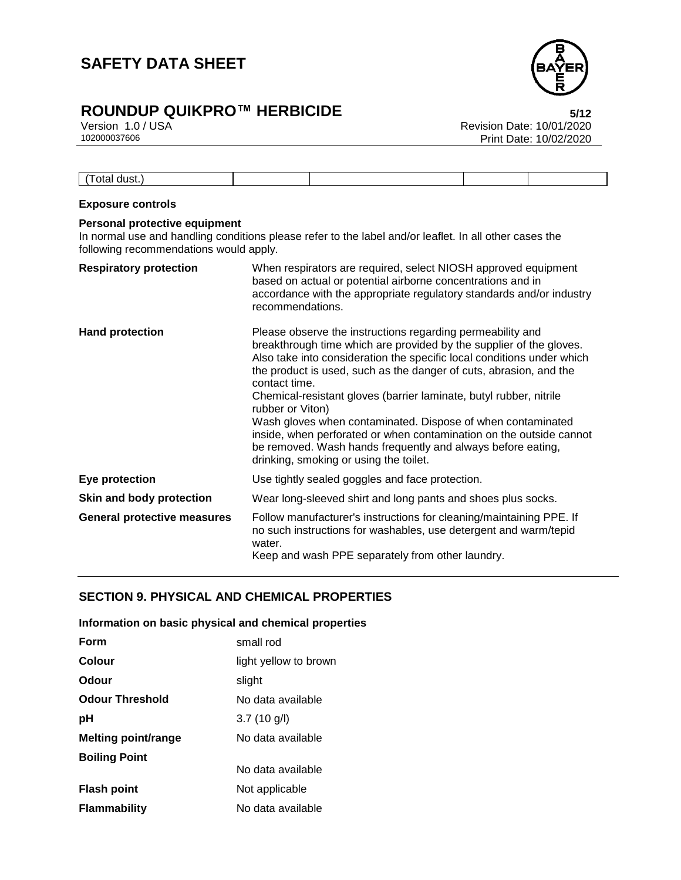

# **ROUNDUP QUIKPRO™ HERBICIDE**<br>Version 1.0 / USA **biased by Careford Bater 10/01/2020**

Version 1.0 / USA Revision Date: 10/01/2020 Print Date: 10/02/2020

| otal dust. |  |  |
|------------|--|--|

### **Exposure controls**

# **Personal protective equipment**

In normal use and handling conditions please refer to the label and/or leaflet. In all other cases the following recommendations would apply.

| <b>Respiratory protection</b>      | When respirators are required, select NIOSH approved equipment<br>based on actual or potential airborne concentrations and in<br>accordance with the appropriate regulatory standards and/or industry<br>recommendations.                                                                                                                                                                                                                                                                                                                                                                                                                   |
|------------------------------------|---------------------------------------------------------------------------------------------------------------------------------------------------------------------------------------------------------------------------------------------------------------------------------------------------------------------------------------------------------------------------------------------------------------------------------------------------------------------------------------------------------------------------------------------------------------------------------------------------------------------------------------------|
| <b>Hand protection</b>             | Please observe the instructions regarding permeability and<br>breakthrough time which are provided by the supplier of the gloves.<br>Also take into consideration the specific local conditions under which<br>the product is used, such as the danger of cuts, abrasion, and the<br>contact time.<br>Chemical-resistant gloves (barrier laminate, butyl rubber, nitrile<br>rubber or Viton)<br>Wash gloves when contaminated. Dispose of when contaminated<br>inside, when perforated or when contamination on the outside cannot<br>be removed. Wash hands frequently and always before eating,<br>drinking, smoking or using the toilet. |
| Eye protection                     | Use tightly sealed goggles and face protection.                                                                                                                                                                                                                                                                                                                                                                                                                                                                                                                                                                                             |
| Skin and body protection           | Wear long-sleeved shirt and long pants and shoes plus socks.                                                                                                                                                                                                                                                                                                                                                                                                                                                                                                                                                                                |
| <b>General protective measures</b> | Follow manufacturer's instructions for cleaning/maintaining PPE. If<br>no such instructions for washables, use detergent and warm/tepid<br>water.<br>Keep and wash PPE separately from other laundry.                                                                                                                                                                                                                                                                                                                                                                                                                                       |

# **SECTION 9. PHYSICAL AND CHEMICAL PROPERTIES**

### **Information on basic physical and chemical properties**

| Form                       | small rod             |
|----------------------------|-----------------------|
| Colour                     | light yellow to brown |
| Odour                      | slight                |
| <b>Odour Threshold</b>     | No data available     |
| рH                         | $3.7(10 \text{ g/l})$ |
| <b>Melting point/range</b> | No data available     |
| <b>Boiling Point</b>       |                       |
|                            | No data available     |
| <b>Flash point</b>         | Not applicable        |
| <b>Flammability</b>        | No data available     |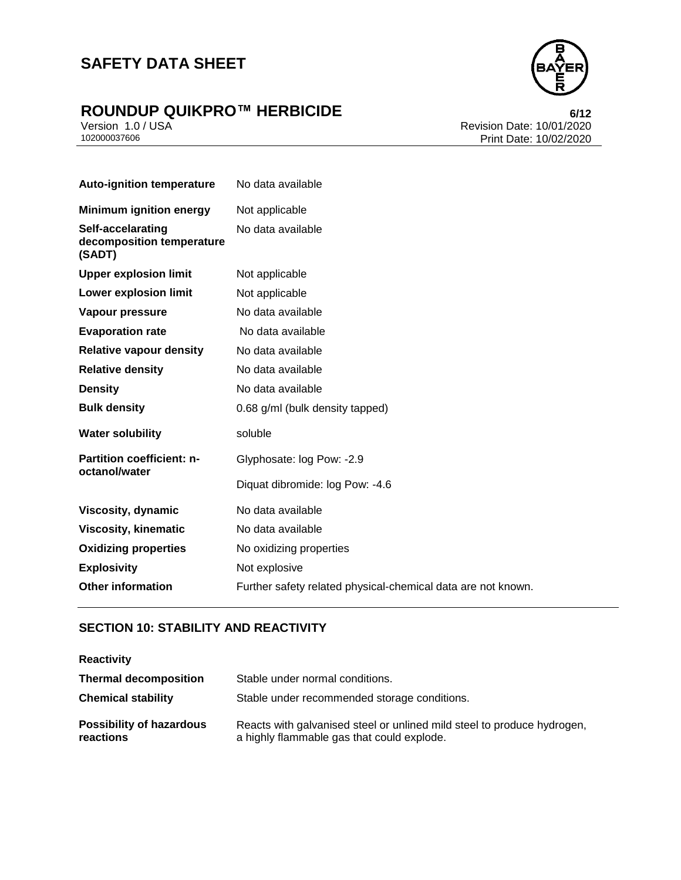

# **ROUNDUP QUIKPRO™ HERBICIDE**<br>Version 1.0 / USA **biaser 10/01/2020**

Version 1.0 / USA Revision Date: 10/01/2020<br>102000037606 Print Date: 10/02/2020 Print Date: 10/02/2020

| <b>Auto-ignition temperature</b>                         | No data available                                            |
|----------------------------------------------------------|--------------------------------------------------------------|
| <b>Minimum ignition energy</b>                           | Not applicable                                               |
| Self-accelarating<br>decomposition temperature<br>(SADT) | No data available                                            |
| <b>Upper explosion limit</b>                             | Not applicable                                               |
| <b>Lower explosion limit</b>                             | Not applicable                                               |
| Vapour pressure                                          | No data available                                            |
| <b>Evaporation rate</b>                                  | No data available                                            |
| <b>Relative vapour density</b>                           | No data available                                            |
| <b>Relative density</b>                                  | No data available                                            |
| <b>Density</b>                                           | No data available                                            |
| <b>Bulk density</b>                                      | 0.68 g/ml (bulk density tapped)                              |
| <b>Water solubility</b>                                  | soluble                                                      |
| <b>Partition coefficient: n-</b><br>octanol/water        | Glyphosate: log Pow: -2.9                                    |
|                                                          | Diquat dibromide: log Pow: -4.6                              |
| Viscosity, dynamic                                       | No data available                                            |
| <b>Viscosity, kinematic</b>                              | No data available                                            |
| <b>Oxidizing properties</b>                              | No oxidizing properties                                      |
| <b>Explosivity</b>                                       | Not explosive                                                |
| <b>Other information</b>                                 | Further safety related physical-chemical data are not known. |

# **SECTION 10: STABILITY AND REACTIVITY**

| <b>Reactivity</b>                            |                                                                                                                       |
|----------------------------------------------|-----------------------------------------------------------------------------------------------------------------------|
| <b>Thermal decomposition</b>                 | Stable under normal conditions.                                                                                       |
| <b>Chemical stability</b>                    | Stable under recommended storage conditions.                                                                          |
| <b>Possibility of hazardous</b><br>reactions | Reacts with galvanised steel or unlined mild steel to produce hydrogen,<br>a highly flammable gas that could explode. |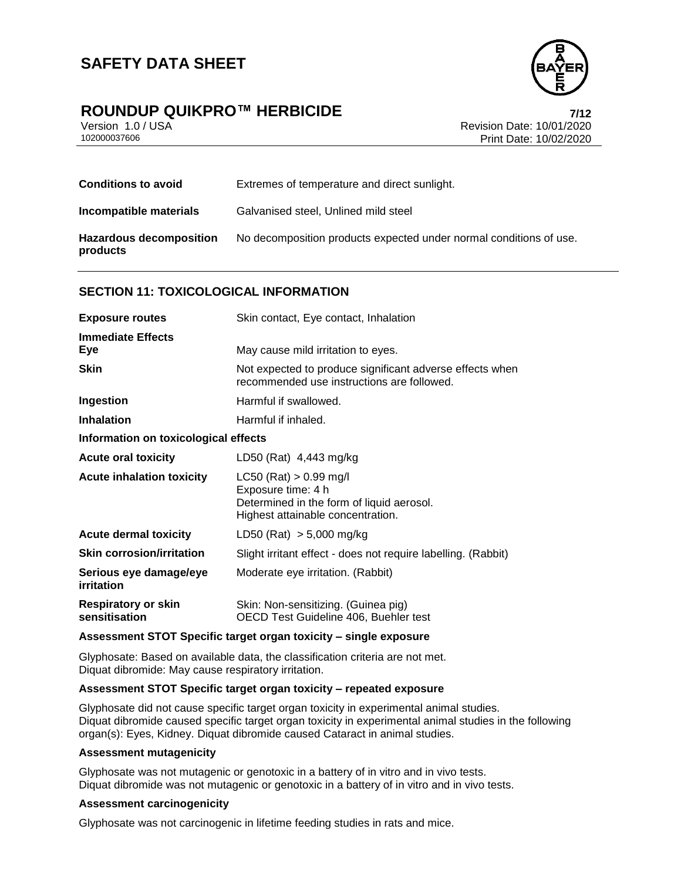# **ROUNDUP QUIKPRO™ HERBICIDE**<br>Version 1.0 / USA *T***/12**<br>Revision Date: 10/01/2020

Version 1.0 / USA Revision Date: 10/01/2020<br>102000037606 Print Date: 10/02/2020 Print Date: 10/02/2020

| <b>Conditions to avoid</b>                 | Extremes of temperature and direct sunlight.                       |
|--------------------------------------------|--------------------------------------------------------------------|
| Incompatible materials                     | Galvanised steel, Unlined mild steel                               |
| <b>Hazardous decomposition</b><br>products | No decomposition products expected under normal conditions of use. |

# **SECTION 11: TOXICOLOGICAL INFORMATION**

| <b>Exposure routes</b>                      | Skin contact, Eye contact, Inhalation                                                                                              |  |
|---------------------------------------------|------------------------------------------------------------------------------------------------------------------------------------|--|
| <b>Immediate Effects</b><br>Eye             | May cause mild irritation to eyes.                                                                                                 |  |
| <b>Skin</b>                                 | Not expected to produce significant adverse effects when<br>recommended use instructions are followed.                             |  |
| Ingestion                                   | Harmful if swallowed.                                                                                                              |  |
| <b>Inhalation</b>                           | Harmful if inhaled.                                                                                                                |  |
| Information on toxicological effects        |                                                                                                                                    |  |
| <b>Acute oral toxicity</b>                  | LD50 (Rat) 4,443 mg/kg                                                                                                             |  |
| <b>Acute inhalation toxicity</b>            | $LC50$ (Rat) $> 0.99$ mg/l<br>Exposure time: 4 h<br>Determined in the form of liquid aerosol.<br>Highest attainable concentration. |  |
| <b>Acute dermal toxicity</b>                | LD50 (Rat) $> 5,000$ mg/kg                                                                                                         |  |
| <b>Skin corrosion/irritation</b>            | Slight irritant effect - does not require labelling. (Rabbit)                                                                      |  |
| Serious eye damage/eye<br>irritation        | Moderate eye irritation. (Rabbit)                                                                                                  |  |
| <b>Respiratory or skin</b><br>sensitisation | Skin: Non-sensitizing. (Guinea pig)<br>OECD Test Guideline 406, Buehler test                                                       |  |

# **Assessment STOT Specific target organ toxicity – single exposure**

Glyphosate: Based on available data, the classification criteria are not met. Diquat dibromide: May cause respiratory irritation.

#### **Assessment STOT Specific target organ toxicity – repeated exposure**

Glyphosate did not cause specific target organ toxicity in experimental animal studies. Diquat dibromide caused specific target organ toxicity in experimental animal studies in the following organ(s): Eyes, Kidney. Diquat dibromide caused Cataract in animal studies.

### **Assessment mutagenicity**

Glyphosate was not mutagenic or genotoxic in a battery of in vitro and in vivo tests. Diquat dibromide was not mutagenic or genotoxic in a battery of in vitro and in vivo tests.

#### **Assessment carcinogenicity**

Glyphosate was not carcinogenic in lifetime feeding studies in rats and mice.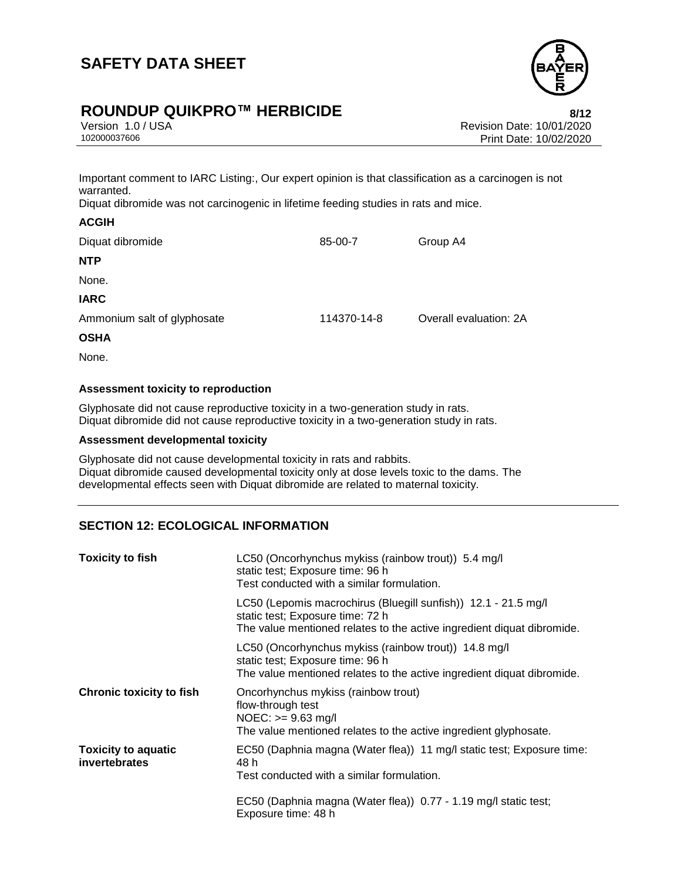

# **ROUNDUP QUIKPRO™ HERBICIDE**<br>Version 1.0 / USA *New Side* Revision Date: 10/01/2020

Version 1.0 / USA Revision Date: 10/01/2020 Print Date: 10/02/2020

Important comment to IARC Listing:, Our expert opinion is that classification as a carcinogen is not warranted.

Diquat dibromide was not carcinogenic in lifetime feeding studies in rats and mice.

| <b>ACGIH</b>                |             |                        |
|-----------------------------|-------------|------------------------|
| Diquat dibromide            | 85-00-7     | Group A4               |
| <b>NTP</b>                  |             |                        |
| None.                       |             |                        |
| <b>IARC</b>                 |             |                        |
| Ammonium salt of glyphosate | 114370-14-8 | Overall evaluation: 2A |
| <b>OSHA</b>                 |             |                        |
| None.                       |             |                        |

# **Assessment toxicity to reproduction**

Glyphosate did not cause reproductive toxicity in a two-generation study in rats. Diquat dibromide did not cause reproductive toxicity in a two-generation study in rats.

### **Assessment developmental toxicity**

Glyphosate did not cause developmental toxicity in rats and rabbits. Diquat dibromide caused developmental toxicity only at dose levels toxic to the dams. The developmental effects seen with Diquat dibromide are related to maternal toxicity.

# **SECTION 12: ECOLOGICAL INFORMATION**

| <b>Toxicity to fish</b>                     | LC50 (Oncorhynchus mykiss (rainbow trout)) 5.4 mg/l<br>static test; Exposure time: 96 h<br>Test conducted with a similar formulation.                                        |
|---------------------------------------------|------------------------------------------------------------------------------------------------------------------------------------------------------------------------------|
|                                             | LC50 (Lepomis macrochirus (Bluegill sunfish)) 12.1 - 21.5 mg/l<br>static test; Exposure time: 72 h<br>The value mentioned relates to the active ingredient diquat dibromide. |
|                                             | LC50 (Oncorhynchus mykiss (rainbow trout)) 14.8 mg/l<br>static test; Exposure time: 96 h<br>The value mentioned relates to the active ingredient diquat dibromide.           |
| <b>Chronic toxicity to fish</b>             | Oncorhynchus mykiss (rainbow trout)<br>flow-through test<br>$NOEC: >= 9.63$ mg/l<br>The value mentioned relates to the active ingredient glyphosate.                         |
| <b>Toxicity to aquatic</b><br>invertebrates | EC50 (Daphnia magna (Water flea)) 11 mg/l static test; Exposure time:<br>48 h<br>Test conducted with a similar formulation.                                                  |
|                                             | EC50 (Daphnia magna (Water flea)) 0.77 - 1.19 mg/l static test;<br>Exposure time: 48 h                                                                                       |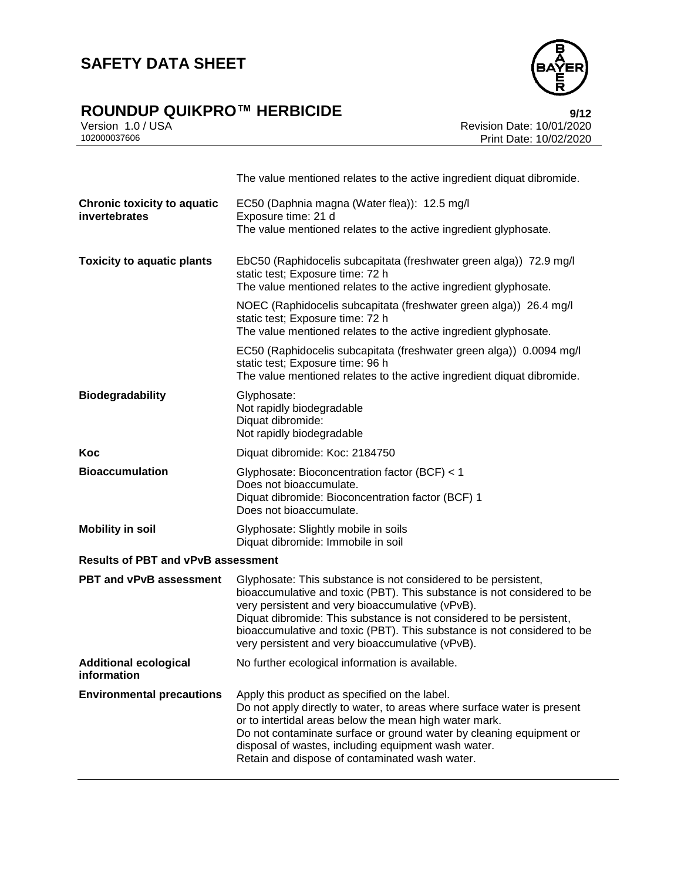# **ROUNDUP QUIKPRO™ HERBICIDE**<br>Version 1.0 / USA *Mericion* 1.0 / USA



Version 1.0 / USA Revision Date: 10/01/2020<br>102000037606 Print Date: 10/02/2020 Print Date: 10/02/2020

|                                                     | The value mentioned relates to the active ingredient diquat dibromide.                                                                                                                                                                                                                                                                                                                               |
|-----------------------------------------------------|------------------------------------------------------------------------------------------------------------------------------------------------------------------------------------------------------------------------------------------------------------------------------------------------------------------------------------------------------------------------------------------------------|
| <b>Chronic toxicity to aquatic</b><br>invertebrates | EC50 (Daphnia magna (Water flea)): 12.5 mg/l<br>Exposure time: 21 d                                                                                                                                                                                                                                                                                                                                  |
|                                                     | The value mentioned relates to the active ingredient glyphosate.                                                                                                                                                                                                                                                                                                                                     |
| <b>Toxicity to aquatic plants</b>                   | EbC50 (Raphidocelis subcapitata (freshwater green alga)) 72.9 mg/l<br>static test; Exposure time: 72 h<br>The value mentioned relates to the active ingredient glyphosate.                                                                                                                                                                                                                           |
|                                                     | NOEC (Raphidocelis subcapitata (freshwater green alga)) 26.4 mg/l<br>static test; Exposure time: 72 h<br>The value mentioned relates to the active ingredient glyphosate.                                                                                                                                                                                                                            |
|                                                     | EC50 (Raphidocelis subcapitata (freshwater green alga)) 0.0094 mg/l<br>static test; Exposure time: 96 h<br>The value mentioned relates to the active ingredient diquat dibromide.                                                                                                                                                                                                                    |
| <b>Biodegradability</b>                             | Glyphosate:<br>Not rapidly biodegradable<br>Diquat dibromide:<br>Not rapidly biodegradable                                                                                                                                                                                                                                                                                                           |
| Koc                                                 | Diquat dibromide: Koc: 2184750                                                                                                                                                                                                                                                                                                                                                                       |
| <b>Bioaccumulation</b>                              | Glyphosate: Bioconcentration factor (BCF) < 1<br>Does not bioaccumulate.<br>Diquat dibromide: Bioconcentration factor (BCF) 1<br>Does not bioaccumulate.                                                                                                                                                                                                                                             |
| <b>Mobility in soil</b>                             | Glyphosate: Slightly mobile in soils<br>Diquat dibromide: Immobile in soil                                                                                                                                                                                                                                                                                                                           |
| <b>Results of PBT and vPvB assessment</b>           |                                                                                                                                                                                                                                                                                                                                                                                                      |
| <b>PBT and vPvB assessment</b>                      | Glyphosate: This substance is not considered to be persistent,<br>bioaccumulative and toxic (PBT). This substance is not considered to be<br>very persistent and very bioaccumulative (vPvB).<br>Diquat dibromide: This substance is not considered to be persistent,<br>bioaccumulative and toxic (PBT). This substance is not considered to be<br>very persistent and very bioaccumulative (vPvB). |
| <b>Additional ecological</b><br>information         | No further ecological information is available.                                                                                                                                                                                                                                                                                                                                                      |
| <b>Environmental precautions</b>                    | Apply this product as specified on the label.<br>Do not apply directly to water, to areas where surface water is present<br>or to intertidal areas below the mean high water mark.<br>Do not contaminate surface or ground water by cleaning equipment or<br>disposal of wastes, including equipment wash water.<br>Retain and dispose of contaminated wash water.                                   |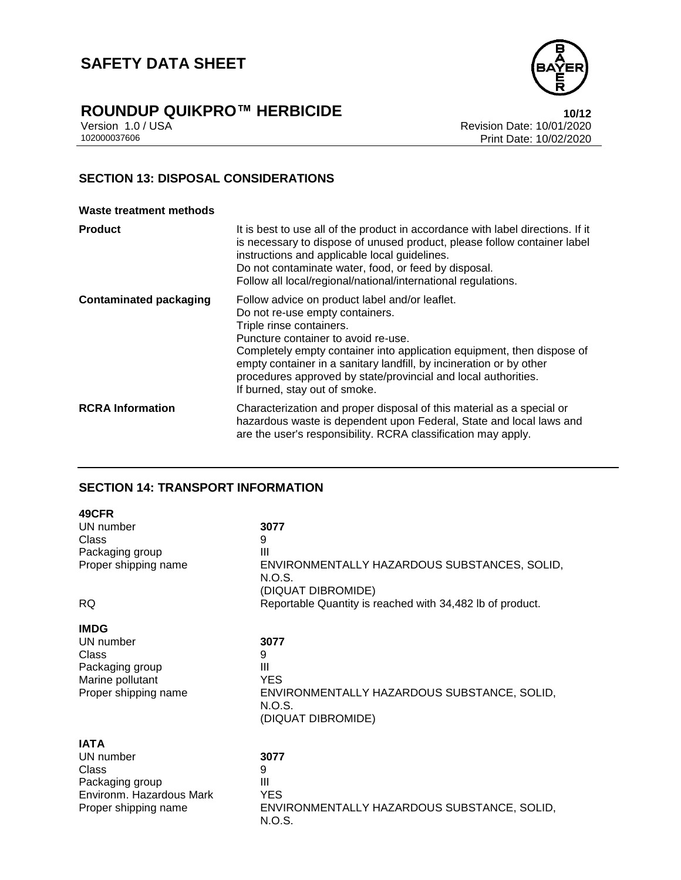



Version 1.0 / USA Revision Date: 10/01/2020 Print Date: 10/02/2020

# **SECTION 13: DISPOSAL CONSIDERATIONS**

#### **Waste treatment methods**

| <b>Product</b>                | It is best to use all of the product in accordance with label directions. If it<br>is necessary to dispose of unused product, please follow container label<br>instructions and applicable local guidelines.<br>Do not contaminate water, food, or feed by disposal.<br>Follow all local/regional/national/international regulations.                                                                    |
|-------------------------------|----------------------------------------------------------------------------------------------------------------------------------------------------------------------------------------------------------------------------------------------------------------------------------------------------------------------------------------------------------------------------------------------------------|
| <b>Contaminated packaging</b> | Follow advice on product label and/or leaflet.<br>Do not re-use empty containers.<br>Triple rinse containers.<br>Puncture container to avoid re-use.<br>Completely empty container into application equipment, then dispose of<br>empty container in a sanitary landfill, by incineration or by other<br>procedures approved by state/provincial and local authorities.<br>If burned, stay out of smoke. |
| <b>RCRA Information</b>       | Characterization and proper disposal of this material as a special or<br>hazardous waste is dependent upon Federal, State and local laws and<br>are the user's responsibility. RCRA classification may apply.                                                                                                                                                                                            |

# **SECTION 14: TRANSPORT INFORMATION**

| 49CFR                                                                                                    |                                                                                                             |
|----------------------------------------------------------------------------------------------------------|-------------------------------------------------------------------------------------------------------------|
| UN number                                                                                                | 3077                                                                                                        |
| Class                                                                                                    | 9                                                                                                           |
| Packaging group                                                                                          | Ш                                                                                                           |
| Proper shipping name                                                                                     | ENVIRONMENTALLY HAZARDOUS SUBSTANCES, SOLID,<br>N.O.S.<br>(DIQUAT DIBROMIDE)                                |
| <b>RQ</b>                                                                                                | Reportable Quantity is reached with 34,482 lb of product.                                                   |
| <b>IMDG</b><br>UN number<br>Class<br>Packaging group<br>Marine pollutant<br>Proper shipping name         | 3077<br>9<br>Ш<br><b>YES</b><br>ENVIRONMENTALLY HAZARDOUS SUBSTANCE, SOLID,<br>N.O.S.<br>(DIQUAT DIBROMIDE) |
| <b>IATA</b><br>UN number<br>Class<br>Packaging group<br>Environm. Hazardous Mark<br>Proper shipping name | 3077<br>9<br>Ш<br><b>YES</b><br>ENVIRONMENTALLY HAZARDOUS SUBSTANCE, SOLID,                                 |

N.O.S.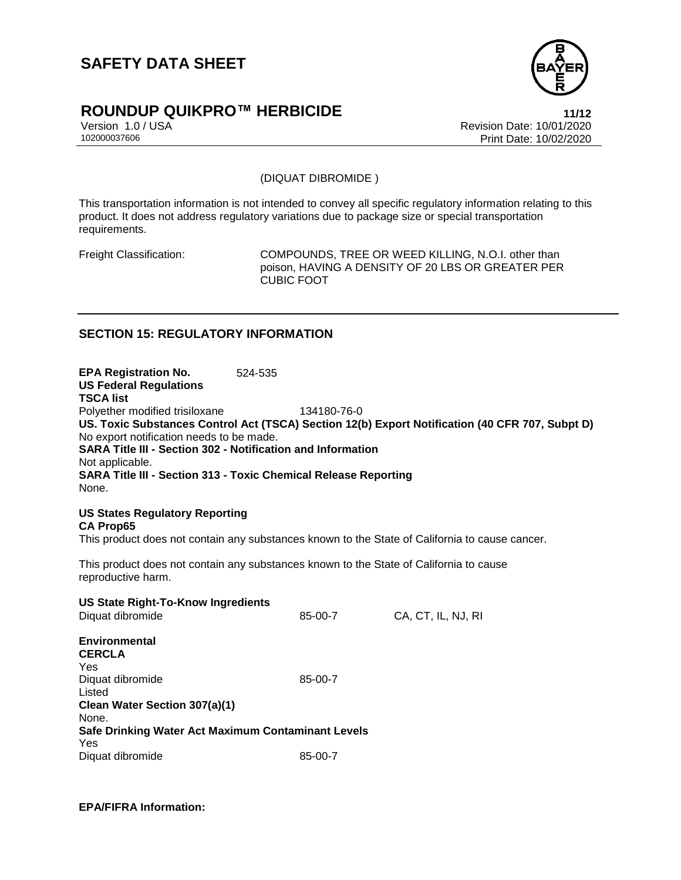

# **ROUNDUP QUIKPRO™ HERBICIDE 11/12**

Version 1.0 / USA Revision Date: 10/01/2020<br>102000037606 Print Date: 10/02/2020 Print Date: 10/02/2020

(DIQUAT DIBROMIDE )

This transportation information is not intended to convey all specific regulatory information relating to this product. It does not address regulatory variations due to package size or special transportation requirements.

Freight Classification: COMPOUNDS, TREE OR WEED KILLING, N.O.I. other than poison, HAVING A DENSITY OF 20 LBS OR GREATER PER CUBIC FOOT

# **SECTION 15: REGULATORY INFORMATION**

**EPA Registration No.** 524-535 **US Federal Regulations TSCA list** Polyether modified trisiloxane 134180-76-0 **US. Toxic Substances Control Act (TSCA) Section 12(b) Export Notification (40 CFR 707, Subpt D)** No export notification needs to be made. **SARA Title III - Section 302 - Notification and Information** Not applicable. **SARA Title III - Section 313 - Toxic Chemical Release Reporting** None.

**US States Regulatory Reporting CA Prop65** This product does not contain any substances known to the State of California to cause cancer.

This product does not contain any substances known to the State of California to cause reproductive harm.

| <b>US State Right-To-Know Ingredients</b><br>Diquat dibromide | 85-00-7 | CA, CT, IL, NJ, RI |
|---------------------------------------------------------------|---------|--------------------|
| Environmental<br><b>CERCLA</b>                                |         |                    |
| Yes                                                           |         |                    |
| Diquat dibromide                                              | 85-00-7 |                    |
| Listed                                                        |         |                    |
| Clean Water Section 307(a)(1)                                 |         |                    |
| None.                                                         |         |                    |
| Safe Drinking Water Act Maximum Contaminant Levels            |         |                    |
| Yes                                                           |         |                    |
| Diquat dibromide                                              | 85-00-7 |                    |

**EPA/FIFRA Information:**